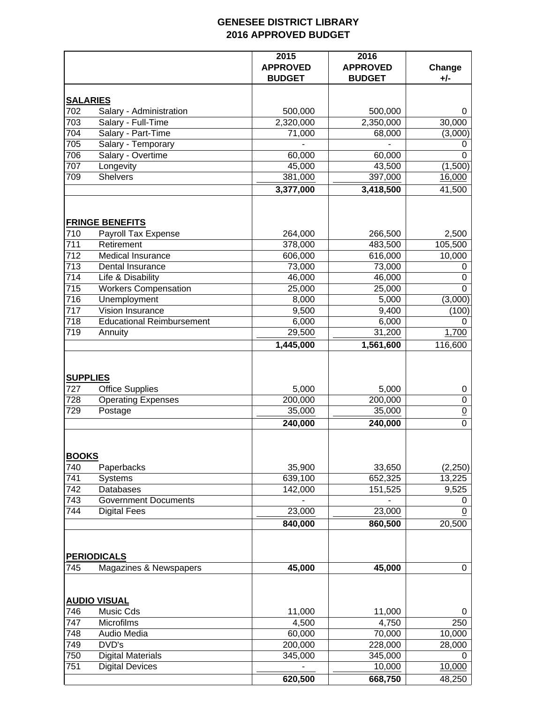## **GENESEE DISTRICT LIBRARY 2016 APPROVED BUDGET**

|                  |                                           | 2015<br><b>APPROVED</b><br><b>BUDGET</b> | 2016<br><b>APPROVED</b><br><b>BUDGET</b> | Change<br>$+/-$ |
|------------------|-------------------------------------------|------------------------------------------|------------------------------------------|-----------------|
|                  | <b>SALARIES</b>                           |                                          |                                          |                 |
| 702              | Salary - Administration                   | 500,000                                  | 500,000                                  | 0               |
| 703              | Salary - Full-Time                        | 2,320,000                                | 2,350,000                                | 30,000          |
| 704              | Salary - Part-Time                        | 71,000                                   | 68,000                                   | (3,000)         |
| 705              | Salary - Temporary                        |                                          |                                          | 0               |
| $\overline{706}$ | Salary - Overtime                         | 60,000                                   | 60,000                                   | $\Omega$        |
| 707              | Longevity                                 | 45,000                                   | 43,500                                   | (1,500)         |
| 709              | <b>Shelvers</b>                           | 381,000                                  | 397,000                                  | 16,000          |
|                  |                                           | 3,377,000                                | 3,418,500                                | 41,500          |
|                  | <b>FRINGE BENEFITS</b>                    |                                          |                                          |                 |
| 710              | Payroll Tax Expense                       | 264,000                                  | 266,500                                  | 2,500           |
| 711              | Retirement                                | 378,000                                  | 483,500                                  | 105,500         |
| 712              | Medical Insurance                         | 606,000                                  | 616,000                                  | 10,000          |
| 713              | Dental Insurance                          | 73,000                                   | 73,000                                   | 0               |
| 714              | Life & Disability                         | 46,000                                   | 46,000                                   | 0               |
| $\overline{715}$ | <b>Workers Compensation</b>               | 25,000                                   | 25,000                                   | $\overline{0}$  |
| 716              | Unemployment                              | 8,000                                    | 5,000                                    | (3,000)         |
| 717              | Vision Insurance                          | 9,500                                    | 9,400                                    | (100)           |
| 718              | <b>Educational Reimbursement</b>          | 6,000                                    | 6,000                                    | 0               |
| $\overline{719}$ | Annuity                                   | 29,500                                   | 31,200                                   | 1,700           |
|                  |                                           | 1,445,000                                | 1,561,600                                | 116,600         |
| 727              | <b>SUPPLIES</b><br><b>Office Supplies</b> | 5,000                                    | 5,000                                    | 0               |
| 728              | <b>Operating Expenses</b>                 | 200,000                                  | 200,000                                  | $\mathbf 0$     |
| 729              | Postage                                   | 35,000                                   | 35,000                                   | $\overline{0}$  |
|                  |                                           | 240,000                                  | 240,000                                  | 0               |
| <b>BOOKS</b>     |                                           |                                          |                                          |                 |
| 740              | Paperbacks                                | 35,900                                   | 33,650                                   | (2,250)         |
| 741              | <b>Systems</b>                            | 639,100                                  | 652,325                                  | 13,225          |
| 742              | <b>Databases</b>                          | 142,000                                  | 151,525                                  | 9,525           |
| 743              | <b>Government Documents</b>               |                                          |                                          | 0               |
| 744              | <b>Digital Fees</b>                       | 23,000                                   | 23,000                                   | 0               |
|                  |                                           | 840,000                                  | 860,500                                  | 20,500          |
|                  | <b>PERIODICALS</b>                        |                                          |                                          |                 |
| 745              | Magazines & Newspapers                    | 45,000                                   | 45,000                                   | 0               |
|                  |                                           |                                          |                                          |                 |
|                  | <b>AUDIO VISUAL</b>                       |                                          |                                          |                 |
| 746              | Music Cds                                 | 11,000                                   | 11,000                                   | 0               |
| 747              | Microfilms                                | 4,500                                    | 4,750                                    | 250             |
| 748              | Audio Media                               | 60,000                                   | 70,000                                   | 10,000          |
| 749              | DVD's                                     | 200,000                                  | 228,000                                  | 28,000          |
| 750              | <b>Digital Materials</b>                  | 345,000                                  | 345,000                                  | 0               |
| 751              | <b>Digital Devices</b>                    |                                          | 10,000                                   | 10,000          |
|                  |                                           | 620,500                                  | 668,750                                  | 48,250          |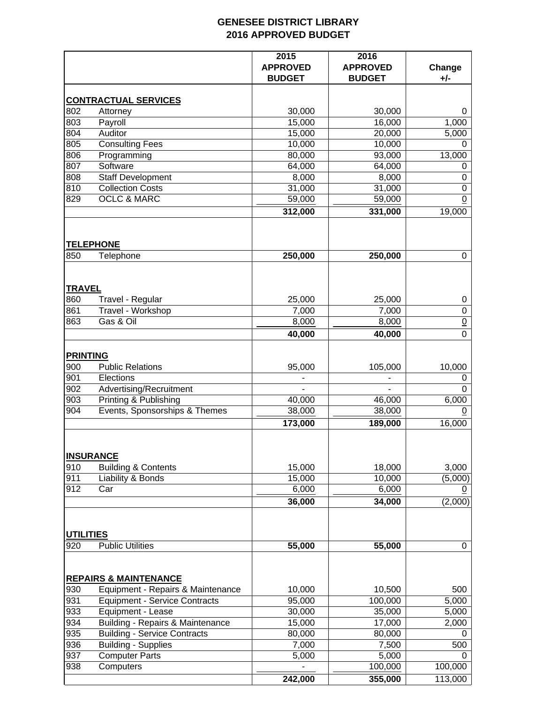## **GENESEE DISTRICT LIBRARY 2016 APPROVED BUDGET**

|                        |                                                     | 2015<br><b>APPROVED</b><br><b>BUDGET</b> | 2016<br><b>APPROVED</b><br><b>BUDGET</b> | Change<br>$+/-$  |
|------------------------|-----------------------------------------------------|------------------------------------------|------------------------------------------|------------------|
|                        | <u>CONTRACTUAL SERVICES</u>                         |                                          |                                          |                  |
| 802                    | Attorney                                            | 30,000                                   | 30,000                                   | 0                |
| 803                    | Payroll                                             | 15,000                                   | 16,000                                   | 1,000            |
| 804                    | Auditor                                             | 15,000                                   | 20,000                                   | 5,000            |
| 805                    | <b>Consulting Fees</b>                              | 10,000                                   | 10,000                                   | 0                |
| 806                    | Programming                                         | 80,000                                   | 93,000                                   | 13,000           |
| 807                    | Software                                            | 64,000                                   | 64,000                                   | 0                |
| 808                    | Staff Development                                   | 8,000                                    | 8,000                                    | 0                |
| 810                    | <b>Collection Costs</b>                             | 31,000                                   | 31,000                                   | 0                |
| 829                    | <b>OCLC &amp; MARC</b>                              | 59,000                                   | 59,000                                   | $\mathbf 0$      |
|                        |                                                     | 312,000                                  | 331,000                                  | 19,000           |
|                        | <b>TELEPHONE</b>                                    |                                          |                                          |                  |
| 850                    | Telephone                                           | 250,000                                  | 250,000                                  | 0                |
| <b>TRAVEL</b>          |                                                     |                                          |                                          |                  |
| 860                    | Travel - Regular                                    | 25,000                                   | 25,000                                   | 0                |
| 861                    | Travel - Workshop                                   | 7,000                                    | 7,000                                    | $\boldsymbol{0}$ |
| 863                    | Gas & Oil                                           | 8,000                                    | 8,000                                    | $\underline{0}$  |
|                        |                                                     | 40,000                                   | 40,000                                   | $\overline{0}$   |
| <b>PRINTING</b><br>900 | <b>Public Relations</b>                             | 95,000                                   | 105,000                                  | 10,000           |
| 901                    | Elections                                           |                                          |                                          | 0                |
| 902                    | Advertising/Recruitment                             |                                          |                                          | $\Omega$         |
| 903                    | <b>Printing &amp; Publishing</b>                    | 40,000                                   | 46,000                                   | 6,000            |
| 904                    | Events, Sponsorships & Themes                       | 38,000<br>173,000                        | 38,000                                   | $\overline{0}$   |
|                        | <b>INSURANCE</b>                                    |                                          | 189,000                                  | 16,000           |
| 910                    | <b>Building &amp; Contents</b>                      | 15,000                                   | 18,000                                   | 3,000            |
| 911                    | Liability & Bonds                                   | 15,000                                   | 10,000                                   | (5,000)          |
| 912                    | Car                                                 | 6,000                                    | 6,000                                    | $\overline{0}$   |
|                        |                                                     | 36,000                                   | 34,000                                   | (2,000)          |
| <b>UTILITIES</b>       |                                                     |                                          |                                          |                  |
| 920                    | <b>Public Utilities</b>                             | 55,000                                   | 55,000                                   | 0                |
|                        | <b>REPAIRS &amp; MAINTENANCE</b>                    |                                          |                                          |                  |
| 930                    | Equipment - Repairs & Maintenance                   | 10,000                                   | 10,500                                   | 500              |
| 931                    | <b>Equipment - Service Contracts</b>                | 95,000                                   | 100,000                                  | 5,000            |
| 933                    | Equipment - Lease                                   | 30,000                                   | 35,000                                   | 5,000            |
| 934                    | Building - Repairs & Maintenance                    | 15,000                                   | 17,000                                   | 2,000            |
| 935                    | <b>Building - Service Contracts</b>                 | 80,000                                   | 80,000                                   | 0                |
| 936<br>937             | <b>Building - Supplies</b><br><b>Computer Parts</b> | 7,000                                    | 7,500                                    | 500<br>0         |
| 938                    | Computers                                           | 5,000                                    | 5,000<br>100,000                         | 100,000          |
|                        |                                                     | 242,000                                  | 355,000                                  | 113,000          |